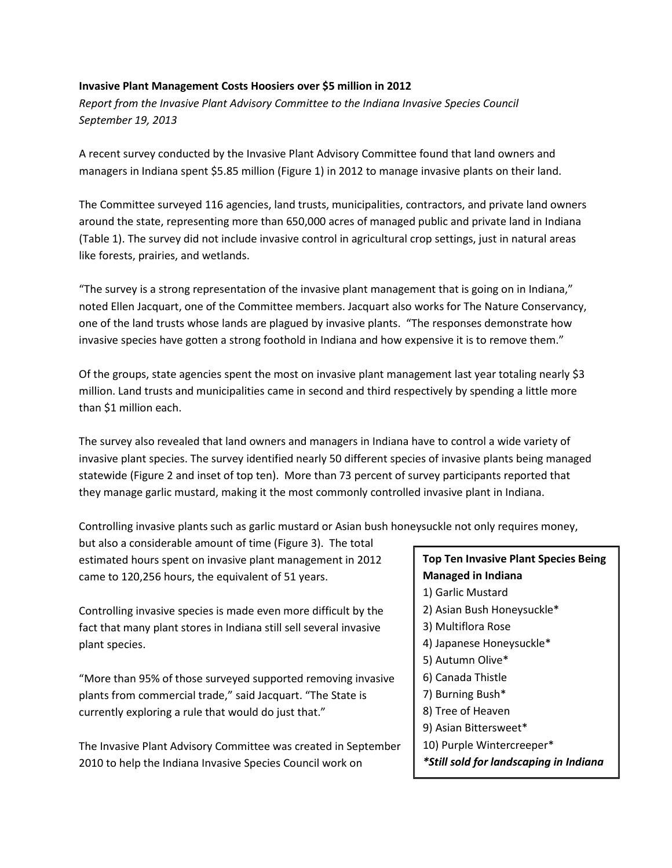## **Invasive Plant Management Costs Hoosiers over \$5 million in 2012**

*Report from the Invasive Plant Advisory Committee to the Indiana Invasive Species Council September 19, 2013*

A recent survey conducted by the Invasive Plant Advisory Committee found that land owners and managers in Indiana spent \$5.85 million (Figure 1) in 2012 to manage invasive plants on their land.

The Committee surveyed 116 agencies, land trusts, municipalities, contractors, and private land owners around the state, representing more than 650,000 acres of managed public and private land in Indiana (Table 1). The survey did not include invasive control in agricultural crop settings, just in natural areas like forests, prairies, and wetlands.

"The survey is a strong representation of the invasive plant management that is going on in Indiana," noted Ellen Jacquart, one of the Committee members. Jacquart also works for The Nature Conservancy, one of the land trusts whose lands are plagued by invasive plants. "The responses demonstrate how invasive species have gotten a strong foothold in Indiana and how expensive it is to remove them."

Of the groups, state agencies spent the most on invasive plant management last year totaling nearly \$3 million. Land trusts and municipalities came in second and third respectively by spending a little more than \$1 million each.

The survey also revealed that land owners and managers in Indiana have to control a wide variety of invasive plant species. The survey identified nearly 50 different species of invasive plants being managed statewide (Figure 2 and inset of top ten). More than 73 percent of survey participants reported that they manage garlic mustard, making it the most commonly controlled invasive plant in Indiana.

Controlling invasive plants such as garlic mustard or Asian bush honeysuckle not only requires money,

but also a considerable amount of time (Figure 3). The total estimated hours spent on invasive plant management in 2012 came to 120,256 hours, the equivalent of 51 years.

Controlling invasive species is made even more difficult by the fact that many plant stores in Indiana still sell several invasive plant species.

"More than 95% of those surveyed supported removing invasive plants from commercial trade," said Jacquart. "The State is currently exploring a rule that would do just that."

The Invasive Plant Advisory Committee was created in September 2010 to help the Indiana Invasive Species Council work on

## **Top Ten Invasive Plant Species Being Managed in Indiana**

- 1) Garlic Mustard
- 2) Asian Bush Honeysuckle\*
- 3) Multiflora Rose
- 4) Japanese Honeysuckle\*
- 5) Autumn Olive\*
- 6) Canada Thistle
- 7) Burning Bush\*
- 8) Tree of Heaven
- 9) Asian Bittersweet\*
- 10) Purple Wintercreeper\*
- *\*Still sold for landscaping in Indiana*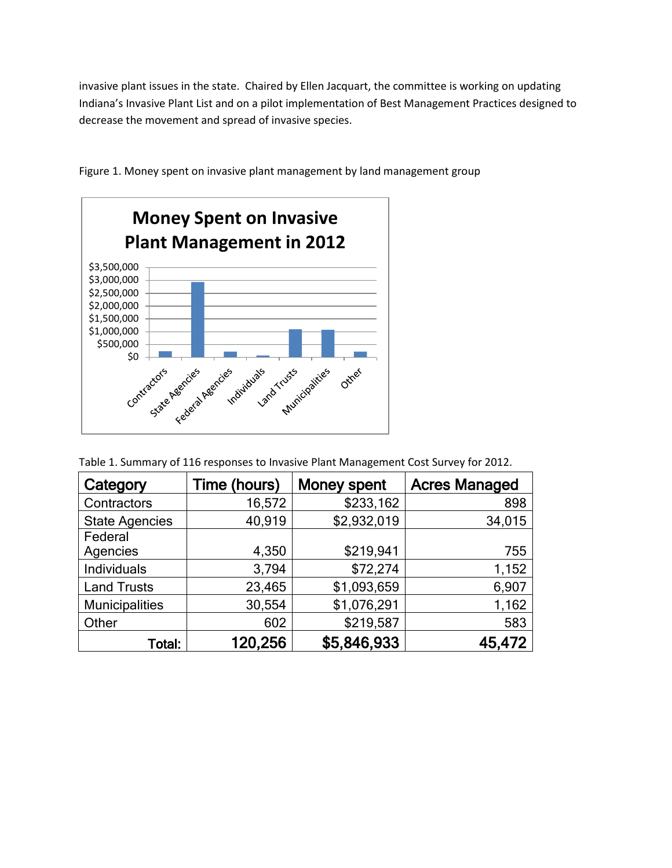invasive plant issues in the state. Chaired by Ellen Jacquart, the committee is working on updating Indiana's Invasive Plant List and on a pilot implementation of Best Management Practices designed to decrease the movement and spread of invasive species.



Figure 1. Money spent on invasive plant management by land management group

Table 1. Summary of 116 responses to Invasive Plant Management Cost Survey for 2012.

| Category              | Time (hours) | <b>Money spent</b> | <b>Acres Managed</b> |
|-----------------------|--------------|--------------------|----------------------|
| Contractors           | 16,572       | \$233,162          | 898                  |
| <b>State Agencies</b> | 40,919       | \$2,932,019        | 34,015               |
| Federal               |              |                    |                      |
| Agencies              | 4,350        | \$219,941          | 755                  |
| Individuals           | 3,794        | \$72,274           | 1,152                |
| <b>Land Trusts</b>    | 23,465       | \$1,093,659        | 6,907                |
| <b>Municipalities</b> | 30,554       | \$1,076,291        | 1,162                |
| Other                 | 602          | \$219,587          | 583                  |
| Total:                | 120,256      | \$5,846,933        | 45,472               |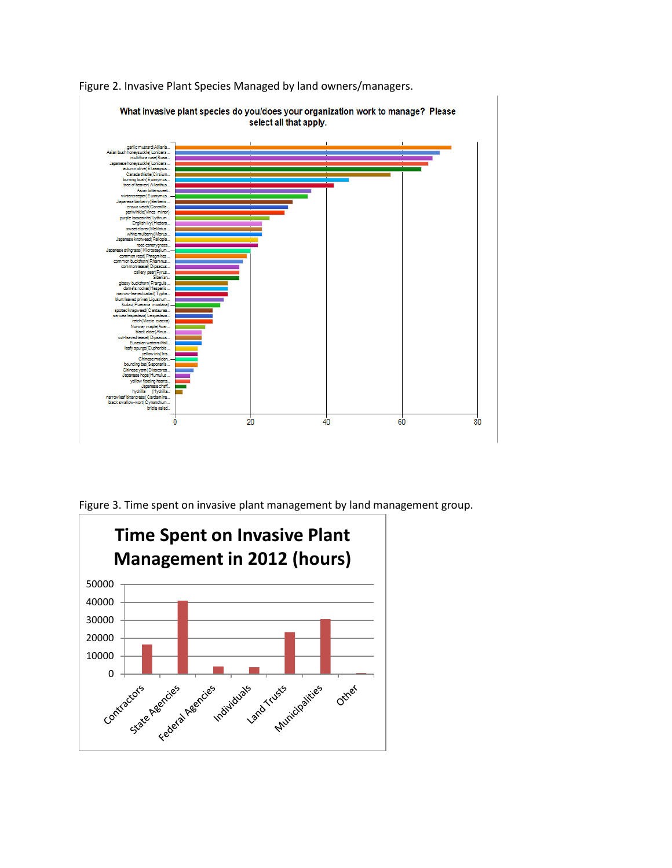

Figure 2. Invasive Plant Species Managed by land owners/managers.

Figure 3. Time spent on invasive plant management by land management group.